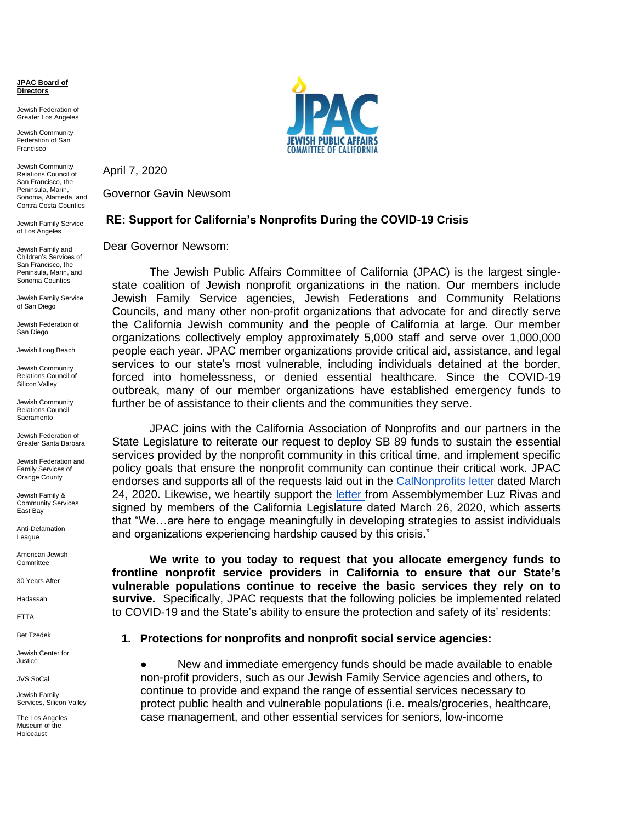**JPAC Board of Directors**

Jewish Federation of Greater Los Angeles

Jewish Community Federation of San Francisco

Jewish Community Relations Council of San Francisco, the Peninsula, Marin, Sonoma, Alameda, and Contra Costa Counties

Jewish Family Service of Los Angeles

Jewish Family and Children's Services of San Francisco, the Peninsula, Marin, and Sonoma Counties

Jewish Family Service of San Diego

Jewish Federation of San Diego

Jewish Long Beach

Jewish Community Relations Council of Silicon Valley

Jewish Community Relations Council Sacramento

Jewish Federation of Greater Santa Barbara

Jewish Federation and Family Services of Orange County

Jewish Family & Community Services East Bay

Anti-Defamation League

American Jewish **Committee** 

30 Years After

Hadassah

ETTA

Bet Tzedek

Jewish Center for Justice

JVS SoCal

Jewish Family Services, Silicon Valley

The Los Angeles Museum of the Holocaust



April 7, 2020

Governor Gavin Newsom

## **RE: Support for California's Nonprofits During the COVID-19 Crisis**

Dear Governor Newsom:

The Jewish Public Affairs Committee of California (JPAC) is the largest singlestate coalition of Jewish nonprofit organizations in the nation. Our members include Jewish Family Service agencies, Jewish Federations and Community Relations Councils, and many other non-profit organizations that advocate for and directly serve the California Jewish community and the people of California at large. Our member organizations collectively employ approximately 5,000 staff and serve over 1,000,000 people each year. JPAC member organizations provide critical aid, assistance, and legal services to our state's most vulnerable, including individuals detained at the border, forced into homelessness, or denied essential healthcare. Since the COVID-19 outbreak, many of our member organizations have established emergency funds to further be of assistance to their clients and the communities they serve.

JPAC joins with the California Association of Nonprofits and our partners in the State Legislature to reiterate our request to deploy SB 89 funds to sustain the essential services provided by the nonprofit community in this critical time, and implement specific policy goals that ensure the nonprofit community can continue their critical work. JPAC endorses and supports all of the requests laid out in the [CalNonprofits letter d](https://calnonprofits.org/images/downloads/CalNonprofits_sign-on_letter_to_CA_leaders_FINAL_4-1-2020.pdf)ated March 24, 2020. Likewise, we heartily support the [letter f](https://a39.asmdc.org/sites/a39.asmdc.org/files/pdf/asm-luz-rivas-letter-governor-newsom-and-legislative-leaders.pdf)rom Assemblymember Luz Rivas and signed by members of the California Legislature dated March 26, 2020, which asserts that "We…are here to engage meaningfully in developing strategies to assist individuals and organizations experiencing hardship caused by this crisis."

**We write to you today to request that you allocate emergency funds to frontline nonprofit service providers in California to ensure that our State's vulnerable populations continue to receive the basic services they rely on to survive.** Specifically, JPAC requests that the following policies be implemented related to COVID-19 and the State's ability to ensure the protection and safety of its' residents:

## **1. Protections for nonprofits and nonprofit social service agencies:**

● New and immediate emergency funds should be made available to enable non-profit providers, such as our Jewish Family Service agencies and others, to continue to provide and expand the range of essential services necessary to protect public health and vulnerable populations (i.e. meals/groceries, healthcare, case management, and other essential services for seniors, low-income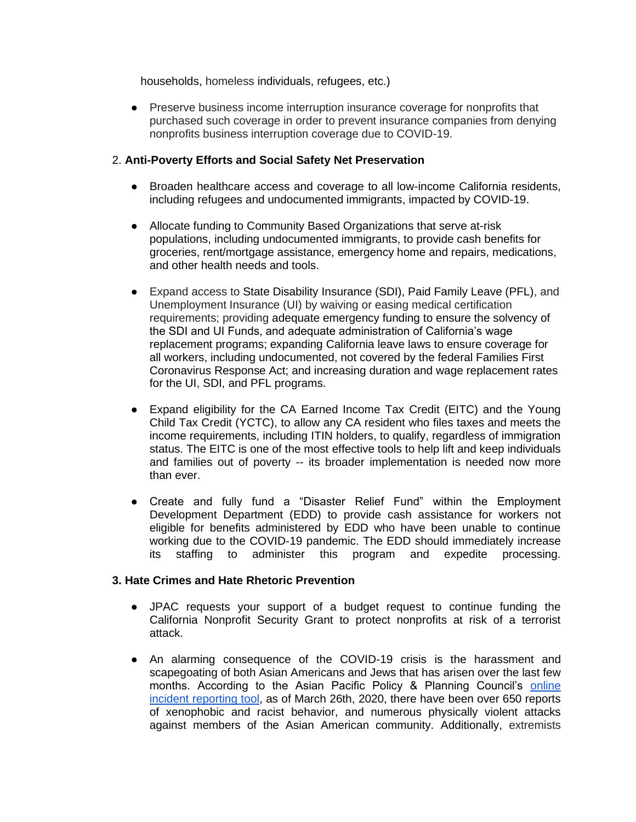households, homeless individuals, refugees, etc.)

● Preserve business income interruption insurance coverage for nonprofits that purchased such coverage in order to prevent insurance companies from denying nonprofits business interruption coverage due to COVID-19.

## 2. **Anti-Poverty Efforts and Social Safety Net Preservation**

- Broaden healthcare access and coverage to all low-income California residents, including refugees and undocumented immigrants, impacted by COVID-19.
- Allocate funding to Community Based Organizations that serve at-risk populations, including undocumented immigrants, to provide cash benefits for groceries, rent/mortgage assistance, emergency home and repairs, medications, and other health needs and tools.
- Expand access to State Disability Insurance (SDI), Paid Family Leave (PFL), and Unemployment Insurance (UI) by waiving or easing medical certification requirements; providing adequate emergency funding to ensure the solvency of the SDI and UI Funds, and adequate administration of California's wage replacement programs; expanding California leave laws to ensure coverage for all workers, including undocumented, not covered by the federal Families First Coronavirus Response Act; and increasing duration and wage replacement rates for the UI, SDI, and PFL programs.
- Expand eligibility for the CA Earned Income Tax Credit (EITC) and the Young Child Tax Credit (YCTC), to allow any CA resident who files taxes and meets the income requirements, including ITIN holders, to qualify, regardless of immigration status. The EITC is one of the most effective tools to help lift and keep individuals and families out of poverty -- its broader implementation is needed now more than ever.
- Create and fully fund a "Disaster Relief Fund" within the Employment Development Department (EDD) to provide cash assistance for workers not eligible for benefits administered by EDD who have been unable to continue working due to the COVID-19 pandemic. The EDD should immediately increase its staffing to administer this program and expedite processing.

## **3. Hate Crimes and Hate Rhetoric Prevention**

- JPAC requests your support of a budget request to continue funding the California Nonprofit Security Grant to protect nonprofits at risk of a terrorist attack.
- An alarming consequence of the COVID-19 crisis is the harassment and scapegoating of both Asian Americans and Jews that has arisen over the last few months. According to the Asian Pacific Policy & Planning Council's [online](http://www.asianpacificpolicyandplanningcouncil.org/wp-content/uploads/Press_Release_-Thursday_March_26_2020.pdf)  [incident reporting tool,](http://www.asianpacificpolicyandplanningcouncil.org/wp-content/uploads/Press_Release_-Thursday_March_26_2020.pdf) as of March 26th, 2020, there have been over 650 reports of xenophobic and racist behavior, and numerous physically violent attacks against members of the Asian American community. Additionally, extremists